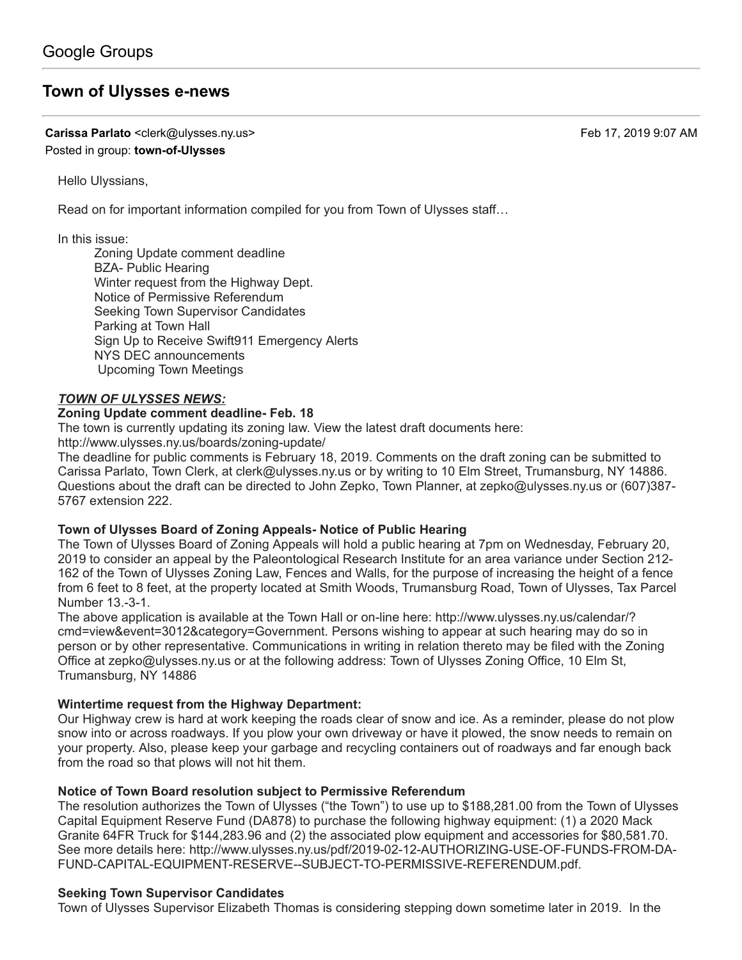# **[Town of Ulysses e-news](https://groups.google.com/d/topic/town-of-ulysses/DrzDG4kebbs)**

**Carissa Parlato** <clerk@ulysses.ny.us> Feb 17, 2019 9:07 AM Posted in group: **[town-of-Ulysses](https://groups.google.com/d/forum/town-of-ulysses)**

Hello Ulyssians,

Read on for important information compiled for you from Town of Ulysses staff…

In this issue:

Zoning Update comment deadline BZA- Public Hearing Winter request from the Highway Dept. Notice of Permissive Referendum Seeking Town Supervisor Candidates Parking at Town Hall Sign Up to Receive Swift911 Emergency Alerts NYS DEC announcements Upcoming Town Meetings

### *TOWN OF ULYSSES NEWS:*

#### **Zoning Update comment deadline- Feb. 18**

The town is currently updating its zoning law. View the latest draft documents here:

<http://www.ulysses.ny.us/boards/zoning-update/>

The deadline for public comments is February 18, 2019. Comments on the draft zoning can be submitted to Carissa Parlato, Town Clerk, at [clerk@ulysses.ny.us](mailto:clerk@ulysses.ny.us) or by writing to 10 Elm Street, Trumansburg, NY 14886. Questions about the draft can be directed to John Zepko, Town Planner, at [zepko@ulysses.ny.us](mailto:zepko@ulysses.ny.us) or (607)387- 5767 extension 222.

### **Town of Ulysses Board of Zoning Appeals- Notice of Public Hearing**

The Town of Ulysses Board of Zoning Appeals will hold a public hearing at 7pm on Wednesday, February 20, 2019 to consider an appeal by the Paleontological Research Institute for an area variance under Section 212- 162 of the Town of Ulysses Zoning Law, Fences and Walls, for the purpose of increasing the height of a fence from 6 feet to 8 feet, at the property located at Smith Woods, Trumansburg Road, Town of Ulysses, Tax Parcel Number 13.-3-1.

The above application is available at the Town Hall or on-line here: http://www.ulysses.ny.us/calendar/? [cmd=view&event=3012&category=Government. Persons wishing to appear at such hearing may do so](http://www.ulysses.ny.us/calendar/?cmd=view&event=3012&category=Government) in person or by other representative. Communications in writing in relation thereto may be filed with the Zoning Office at [zepko@ulysses.ny.us](mailto:zepko@ulysses.ny.us) or at the following address: Town of Ulysses Zoning Office, 10 Elm St, Trumansburg, NY 14886

### **Wintertime request from the Highway Department:**

Our Highway crew is hard at work keeping the roads clear of snow and ice. As a reminder, please do not plow snow into or across roadways. If you plow your own driveway or have it plowed, the snow needs to remain on your property. Also, please keep your garbage and recycling containers out of roadways and far enough back from the road so that plows will not hit them.

#### **Notice of Town Board resolution subject to Permissive Referendum**

The resolution authorizes the Town of Ulysses ("the Town") to use up to \$188,281.00 from the Town of Ulysses Capital Equipment Reserve Fund (DA878) to purchase the following highway equipment: (1) a 2020 Mack Granite 64FR Truck for \$144,283.96 and (2) the associated plow equipment and accessories for \$80,581.70. [See more details here: http://www.ulysses.ny.us/pdf/2019-02-12-AUTHORIZING-USE-OF-FUNDS-FROM-DA-](http://www.ulysses.ny.us/pdf/2019-02-12-AUTHORIZING-USE-OF-FUNDS-FROM-DA-FUND-CAPITAL-EQUIPMENT-RESERVE--SUBJECT-TO-PERMISSIVE-REFERENDUM.pdf.)FUND-CAPITAL-EQUIPMENT-RESERVE--SUBJECT-TO-PERMISSIVE-REFERENDUM.pdf.

### **Seeking Town Supervisor Candidates**

Town of Ulysses Supervisor Elizabeth Thomas is considering stepping down sometime later in 2019. In the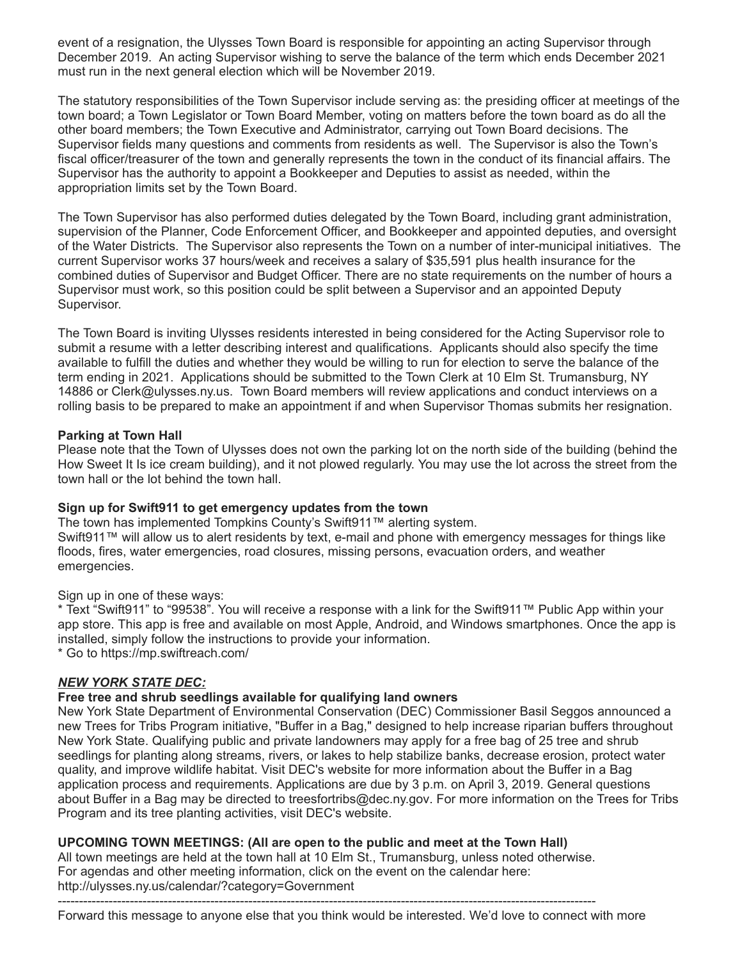event of a resignation, the Ulysses Town Board is responsible for appointing an acting Supervisor through December 2019. An acting Supervisor wishing to serve the balance of the term which ends December 2021 must run in the next general election which will be November 2019.

The statutory responsibilities of the Town Supervisor include serving as: the presiding officer at meetings of the town board; a Town Legislator or Town Board Member, voting on matters before the town board as do all the other board members; the Town Executive and Administrator, carrying out Town Board decisions. The Supervisor fields many questions and comments from residents as well. The Supervisor is also the Town's fiscal officer/treasurer of the town and generally represents the town in the conduct of its financial affairs. The Supervisor has the authority to appoint a Bookkeeper and Deputies to assist as needed, within the appropriation limits set by the Town Board.

The Town Supervisor has also performed duties delegated by the Town Board, including grant administration, supervision of the Planner, Code Enforcement Officer, and Bookkeeper and appointed deputies, and oversight of the Water Districts. The Supervisor also represents the Town on a number of inter-municipal initiatives. The current Supervisor works 37 hours/week and receives a salary of \$35,591 plus health insurance for the combined duties of Supervisor and Budget Officer. There are no state requirements on the number of hours a Supervisor must work, so this position could be split between a Supervisor and an appointed Deputy Supervisor.

The Town Board is inviting Ulysses residents interested in being considered for the Acting Supervisor role to submit a resume with a letter describing interest and qualifications. Applicants should also specify the time available to fulfill the duties and whether they would be willing to run for election to serve the balance of the term ending in 2021. Applications should be submitted to the Town Clerk at 10 Elm St. Trumansburg, NY 14886 or [Clerk@ulysses.ny.us.](mailto:Clerk@ulysses.ny.us) Town Board members will review applications and conduct interviews on a rolling basis to be prepared to make an appointment if and when Supervisor Thomas submits her resignation.

### **Parking at Town Hall**

Please note that the Town of Ulysses does not own the parking lot on the north side of the building (behind the How Sweet It Is ice cream building), and it not plowed regularly. You may use the lot across the street from the town hall or the lot behind the town hall.

### **Sign up for Swift911 to get emergency updates from the town**

The town has implemented Tompkins County's Swift911™ alerting system. Swift911™ will allow us to alert residents by text, e-mail and phone with emergency messages for things like floods, fires, water emergencies, road closures, missing persons, evacuation orders, and weather emergencies.

Sign up in one of these ways:

\* Text "Swift911" to "99538". You will receive a response with a link for the Swift911™ Public App within your app store. This app is free and available on most Apple, Android, and Windows smartphones. Once the app is installed, simply follow the instructions to provide your information.

\* Go to [https://mp.swiftreach.com](https://mp.swiftreach.com/)/

## *NEW YORK STATE DEC:*

### **Free tree and shrub seedlings available for qualifying land owners**

New York State Department of Environmental Conservation (DEC) Commissioner Basil Seggos announced a new Trees for Tribs Program initiative, "Buffer in a Bag," designed to help increase riparian buffers throughout New York State. Qualifying public and private landowners may apply for a free bag of 25 tree and shrub seedlings for planting along streams, rivers, or lakes to help stabilize banks, decrease erosion, protect water quality, and improve wildlife habitat. Visit [DEC's website](https://www.dec.ny.gov/animals/115903.html) for more information about the Buffer in a Bag application process and requirements. Applications are due by 3 p.m. on April 3, 2019. General questions about Buffer in a Bag may be directed to [treesfortribs@dec.ny.gov.](mailto:treesfortribs@dec.ny.gov) For more information on the Trees for Tribs Program and its tree planting activities, visit [DEC's website.](https://www.dec.ny.gov/animals/77710.html)

## **UPCOMING TOWN MEETINGS: (All are open to the public and meet at the Town Hall)**

All town meetings are held at the town hall at 10 Elm St., Trumansburg, unless noted otherwise. For agendas and other meeting information, click on the event on the calendar here: <http://ulysses.ny.us/calendar/?category=Government> -------------------------------------------------------------------------------------------------------------------------------

Forward this message to anyone else that you think would be interested. We'd love to connect with more